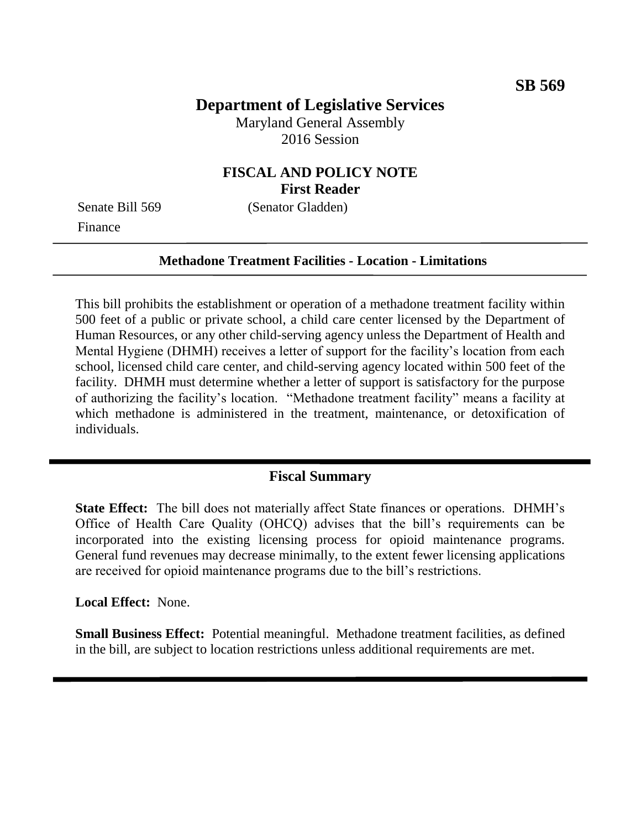# **Department of Legislative Services**

Maryland General Assembly 2016 Session

### **FISCAL AND POLICY NOTE First Reader**

Finance

Senate Bill 569 (Senator Gladden)

#### **Methadone Treatment Facilities - Location - Limitations**

This bill prohibits the establishment or operation of a methadone treatment facility within 500 feet of a public or private school, a child care center licensed by the Department of Human Resources, or any other child-serving agency unless the Department of Health and Mental Hygiene (DHMH) receives a letter of support for the facility's location from each school, licensed child care center, and child-serving agency located within 500 feet of the facility. DHMH must determine whether a letter of support is satisfactory for the purpose of authorizing the facility's location. "Methadone treatment facility" means a facility at which methadone is administered in the treatment, maintenance, or detoxification of individuals.

### **Fiscal Summary**

**State Effect:** The bill does not materially affect State finances or operations. DHMH's Office of Health Care Quality (OHCQ) advises that the bill's requirements can be incorporated into the existing licensing process for opioid maintenance programs. General fund revenues may decrease minimally, to the extent fewer licensing applications are received for opioid maintenance programs due to the bill's restrictions.

**Local Effect:** None.

**Small Business Effect:** Potential meaningful. Methadone treatment facilities, as defined in the bill, are subject to location restrictions unless additional requirements are met.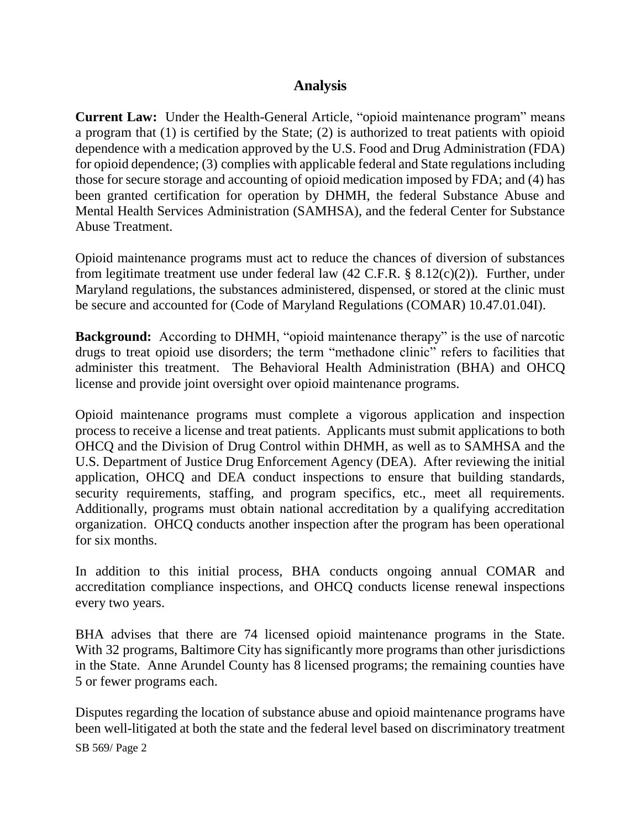### **Analysis**

**Current Law:** Under the Health-General Article, "opioid maintenance program" means a program that (1) is certified by the State; (2) is authorized to treat patients with opioid dependence with a medication approved by the U.S. Food and Drug Administration (FDA) for opioid dependence; (3) complies with applicable federal and State regulations including those for secure storage and accounting of opioid medication imposed by FDA; and (4) has been granted certification for operation by DHMH, the federal Substance Abuse and Mental Health Services Administration (SAMHSA), and the federal Center for Substance Abuse Treatment.

Opioid maintenance programs must act to reduce the chances of diversion of substances from legitimate treatment use under federal law (42 C.F.R. § 8.12(c)(2)). Further, under Maryland regulations, the substances administered, dispensed, or stored at the clinic must be secure and accounted for (Code of Maryland Regulations (COMAR) 10.47.01.04I).

**Background:** According to DHMH, "opioid maintenance therapy" is the use of narcotic drugs to treat opioid use disorders; the term "methadone clinic" refers to facilities that administer this treatment. The Behavioral Health Administration (BHA) and OHCQ license and provide joint oversight over opioid maintenance programs.

Opioid maintenance programs must complete a vigorous application and inspection process to receive a license and treat patients. Applicants must submit applications to both OHCQ and the Division of Drug Control within DHMH, as well as to SAMHSA and the U.S. Department of Justice Drug Enforcement Agency (DEA). After reviewing the initial application, OHCQ and DEA conduct inspections to ensure that building standards, security requirements, staffing, and program specifics, etc., meet all requirements. Additionally, programs must obtain national accreditation by a qualifying accreditation organization. OHCQ conducts another inspection after the program has been operational for six months.

In addition to this initial process, BHA conducts ongoing annual COMAR and accreditation compliance inspections, and OHCQ conducts license renewal inspections every two years.

BHA advises that there are 74 licensed opioid maintenance programs in the State. With 32 programs, Baltimore City has significantly more programs than other jurisdictions in the State. Anne Arundel County has 8 licensed programs; the remaining counties have 5 or fewer programs each.

Disputes regarding the location of substance abuse and opioid maintenance programs have been well-litigated at both the state and the federal level based on discriminatory treatment

SB 569/ Page 2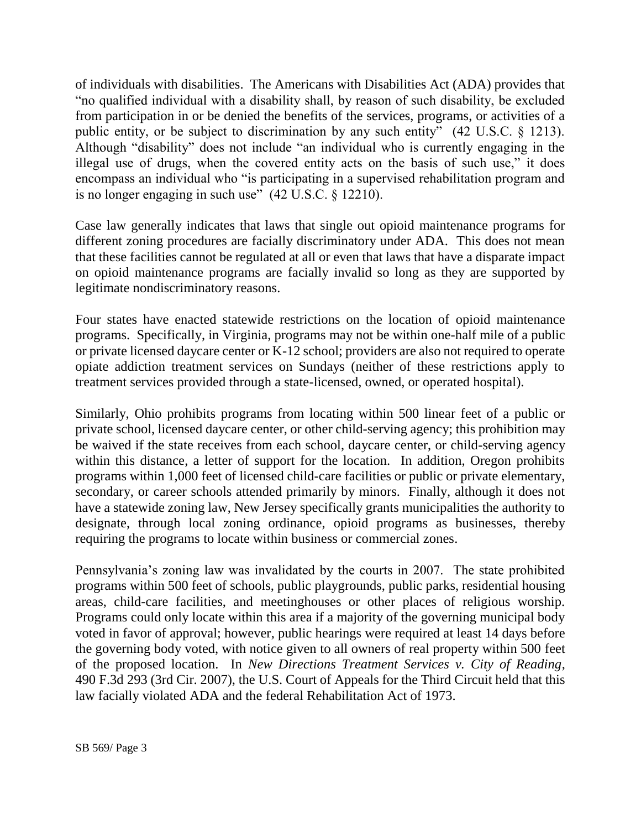of individuals with disabilities. The Americans with Disabilities Act (ADA) provides that "no qualified individual with a disability shall, by reason of such disability, be excluded from participation in or be denied the benefits of the services, programs, or activities of a public entity, or be subject to discrimination by any such entity" (42 U.S.C. § 1213). Although "disability" does not include "an individual who is currently engaging in the illegal use of drugs, when the covered entity acts on the basis of such use," it does encompass an individual who "is participating in a supervised rehabilitation program and is no longer engaging in such use" (42 U.S.C. § 12210).

Case law generally indicates that laws that single out opioid maintenance programs for different zoning procedures are facially discriminatory under ADA. This does not mean that these facilities cannot be regulated at all or even that laws that have a disparate impact on opioid maintenance programs are facially invalid so long as they are supported by legitimate nondiscriminatory reasons.

Four states have enacted statewide restrictions on the location of opioid maintenance programs. Specifically, in Virginia, programs may not be within one-half mile of a public or private licensed daycare center or K-12 school; providers are also not required to operate opiate addiction treatment services on Sundays (neither of these restrictions apply to treatment services provided through a state-licensed, owned, or operated hospital).

Similarly, Ohio prohibits programs from locating within 500 linear feet of a public or private school, licensed daycare center, or other child-serving agency; this prohibition may be waived if the state receives from each school, daycare center, or child-serving agency within this distance, a letter of support for the location. In addition, Oregon prohibits programs within 1,000 feet of licensed child-care facilities or public or private elementary, secondary, or career schools attended primarily by minors. Finally, although it does not have a statewide zoning law, New Jersey specifically grants municipalities the authority to designate, through local zoning ordinance, opioid programs as businesses, thereby requiring the programs to locate within business or commercial zones.

Pennsylvania's zoning law was invalidated by the courts in 2007. The state prohibited programs within 500 feet of schools, public playgrounds, public parks, residential housing areas, child-care facilities, and meetinghouses or other places of religious worship. Programs could only locate within this area if a majority of the governing municipal body voted in favor of approval; however, public hearings were required at least 14 days before the governing body voted, with notice given to all owners of real property within 500 feet of the proposed location. In *New Directions Treatment Services v. City of Reading*, 490 F.3d 293 (3rd Cir. 2007), the U.S. Court of Appeals for the Third Circuit held that this law facially violated ADA and the federal Rehabilitation Act of 1973.